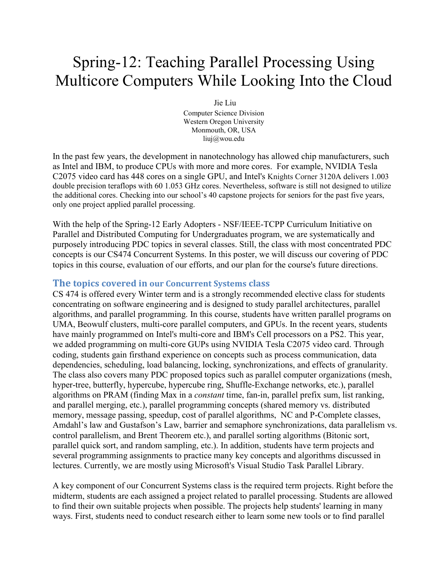## Spring-12: Teaching Parallel Processing Using Multicore Computers While Looking Into the Cloud

Jie Liu Computer Science Division Western Oregon University Monmouth, OR, USA liuj@wou.edu

In the past few years, the development in nanotechnology has allowed chip manufacturers, such as Intel and IBM, to produce CPUs with more and more cores. For example, NVIDIA Tesla C2075 video card has 448 cores on a single GPU, and Intel's Knights Corner 3120A delivers 1.003 double precision teraflops with 60 1.053 GHz cores. Nevertheless, software is still not designed to utilize the additional cores. Checking into our school's 40 capstone projects for seniors for the past five years, only one project applied parallel processing.

With the help of the Spring-12 Early Adopters - NSF/IEEE-TCPP Curriculum Initiative on Parallel and Distributed Computing for Undergraduates program, we are systematically and purposely introducing PDC topics in several classes. Still, the class with most concentrated PDC concepts is our CS474 Concurrent Systems. In this poster, we will discuss our covering of PDC topics in this course, evaluation of our efforts, and our plan for the course's future directions.

## **The topics covered in our Concurrent Systems class**

CS 474 is offered every Winter term and is a strongly recommended elective class for students concentrating on software engineering and is designed to study parallel architectures, parallel algorithms, and parallel programming. In this course, students have written parallel programs on UMA, Beowulf clusters, multi-core parallel computers, and GPUs. In the recent years, students have mainly programmed on Intel's multi-core and IBM's Cell processors on a PS2. This year, we added programming on multi-core GUPs using NVIDIA Tesla C2075 video card. Through coding, students gain firsthand experience on concepts such as process communication, data dependencies, scheduling, load balancing, locking, synchronizations, and effects of granularity. The class also covers many PDC proposed topics such as parallel computer organizations (mesh, hyper-tree, butterfly, hypercube, hypercube ring, Shuffle-Exchange networks, etc.), parallel algorithms on PRAM (finding Max in a *constant* time, fan-in, parallel prefix sum, list ranking, and parallel merging, etc.), parallel programming concepts (shared memory vs. distributed memory, message passing, speedup, cost of parallel algorithms, NC and P-Complete classes, Amdahl's law and Gustafson's Law, barrier and semaphore synchronizations, data parallelism vs. control parallelism, and Brent Theorem etc.), and parallel sorting algorithms (Bitonic sort, parallel quick sort, and random sampling, etc.). In addition, students have term projects and several programming assignments to practice many key concepts and algorithms discussed in lectures. Currently, we are mostly using Microsoft's Visual Studio Task Parallel Library.

A key component of our Concurrent Systems class is the required term projects. Right before the midterm, students are each assigned a project related to parallel processing. Students are allowed to find their own suitable projects when possible. The projects help students' learning in many ways. First, students need to conduct research either to learn some new tools or to find parallel